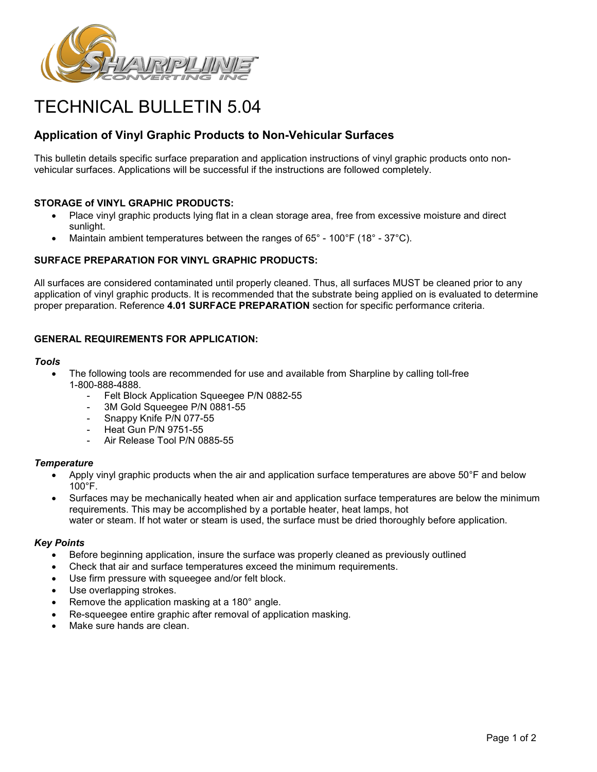

# TECHNICAL BULLETIN 5.04

## **Application of Vinyl Graphic Products to Non-Vehicular Surfaces**

This bulletin details specific surface preparation and application instructions of vinyl graphic products onto nonvehicular surfaces. Applications will be successful if the instructions are followed completely.

## **STORAGE of VINYL GRAPHIC PRODUCTS:**

- Place vinyl graphic products lying flat in a clean storage area, free from excessive moisture and direct sunlight.
- Maintain ambient temperatures between the ranges of 65° 100°F (18° 37°C).

## **SURFACE PREPARATION FOR VINYL GRAPHIC PRODUCTS:**

All surfaces are considered contaminated until properly cleaned. Thus, all surfaces MUST be cleaned prior to any application of vinyl graphic products. It is recommended that the substrate being applied on is evaluated to determine proper preparation. Reference **4.01 SURFACE PREPARATION** section for specific performance criteria.

## **GENERAL REQUIREMENTS FOR APPLICATION:**

#### *Tools*

- The following tools are recommended for use and available from Sharpline by calling toll-free 1-800-888-4888.
	- Felt Block Application Squeegee P/N 0882-55
	- 3M Gold Squeegee P/N 0881-55
	- Snappy Knife P/N 077-55
	- Heat Gun P/N 9751-55
	- Air Release Tool P/N 0885-55

## *Temperature*

- Apply vinyl graphic products when the air and application surface temperatures are above 50°F and below 100°F.
- Surfaces may be mechanically heated when air and application surface temperatures are below the minimum requirements. This may be accomplished by a portable heater, heat lamps, hot water or steam. If hot water or steam is used, the surface must be dried thoroughly before application.

## *Key Points*

- Before beginning application, insure the surface was properly cleaned as previously outlined
- Check that air and surface temperatures exceed the minimum requirements.
- Use firm pressure with squeegee and/or felt block.
- Use overlapping strokes.
- Remove the application masking at a 180° angle.
- Re-squeegee entire graphic after removal of application masking.
- Make sure hands are clean.